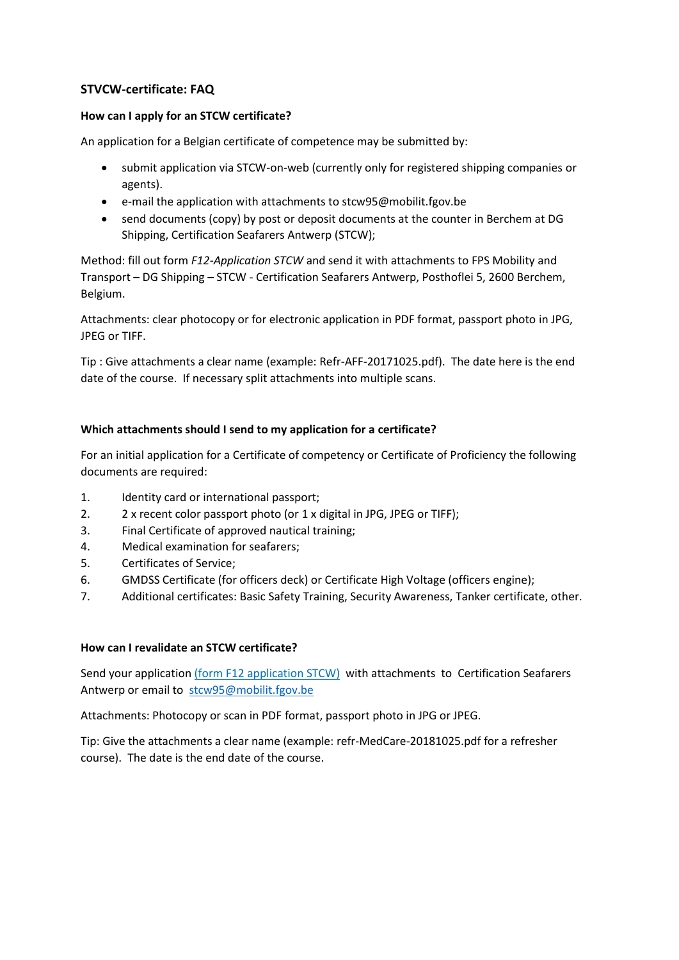# **STVCW-certificate: FAQ**

## **How can I apply for an STCW certificate?**

An application for a Belgian certificate of competence may be submitted by:

- submit application via STCW-on-web (currently only for registered shipping companies or agents).
- e-mail the application with attachments to stcw95@mobilit.fgov.be
- send documents (copy) by post or deposit documents at the counter in Berchem at DG Shipping, Certification Seafarers Antwerp (STCW);

Method: fill out form *F12-Application STCW* and send it with attachments to FPS Mobility and Transport – DG Shipping – STCW - Certification Seafarers Antwerp, Posthoflei 5, 2600 Berchem, Belgium.

Attachments: clear photocopy or for electronic application in PDF format, passport photo in JPG, JPEG or TIFF.

Tip : Give attachments a clear name (example: Refr-AFF-20171025.pdf). The date here is the end date of the course. If necessary split attachments into multiple scans.

# **Which attachments should I send to my application for a certificate?**

For an initial application for a Certificate of competency or Certificate of Proficiency the following documents are required:

- 1. Identity card or international passport;
- 2. 2 x recent color passport photo (or 1 x digital in JPG, JPEG or TIFF);
- 3. Final Certificate of approved nautical training;
- 4. Medical examination for seafarers;
- 5. Certificates of Service;
- 6. GMDSS Certificate (for officers deck) or Certificate High Voltage (officers engine);
- 7. Additional certificates: Basic Safety Training, Security Awareness, Tanker certificate, other.

#### **How can I revalidate an STCW certificate?**

Send your application (form F12 application STCW) with attachments to Certification Seafarers Antwerp or email to [stcw95@mobilit.fgov.be](mailto:stcw95@mobilit.fgov.be)

Attachments: Photocopy or scan in PDF format, passport photo in JPG or JPEG.

Tip: Give the attachments a clear name (example: refr-MedCare-20181025.pdf for a refresher course). The date is the end date of the course.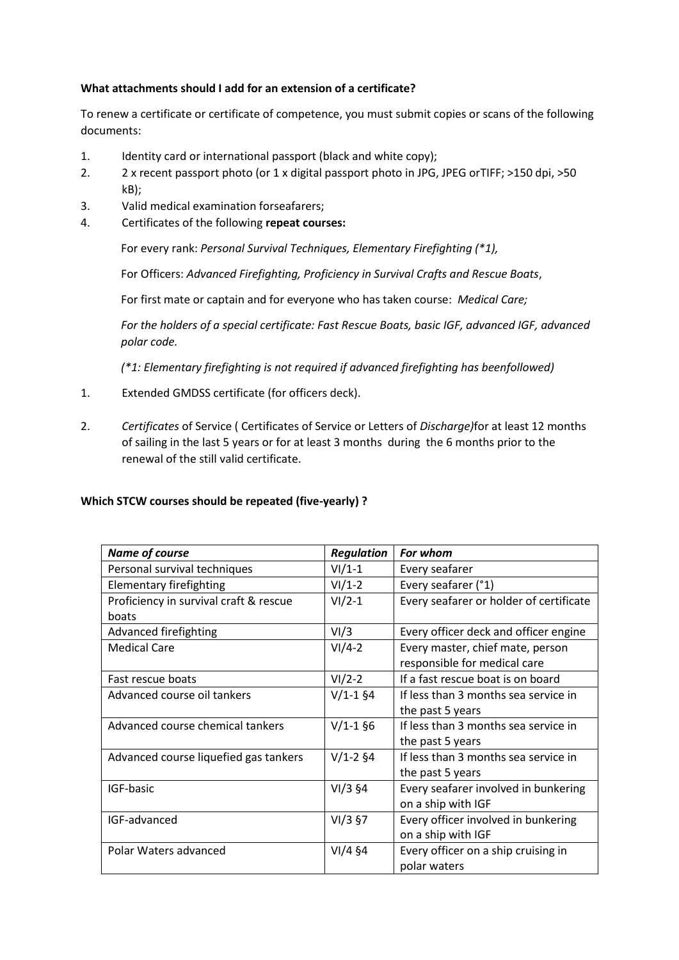## **What attachments should I add for an extension of a certificate?**

To renew a certificate or certificate of competence, you must submit copies or scans of the following documents:

- 1. Identity card or international passport (black and white copy);
- 2. 2 x recent passport photo (or 1 x digital passport photo in JPG, JPEG orTIFF; >150 dpi, >50 kB);
- 3. Valid medical examination forseafarers;
- 4. Certificates of the following **repeat courses:**

For every rank: *Personal Survival Techniques, Elementary Firefighting (\*1),*

For Officers: *Advanced Firefighting, Proficiency in Survival Crafts and Rescue Boats*,

For first mate or captain and for everyone who has taken course: *Medical Care;*

*For the holders of a special certificate: Fast Rescue Boats, basic IGF, advanced IGF, advanced polar code.*

*(\*1: Elementary firefighting is not required if advanced firefighting has beenfollowed)*

- 1. Extended GMDSS certificate (for officers deck).
- 2. *Certificates* of Service ( Certificates of Service or Letters of *Discharge)*for at least 12 months of sailing in the last 5 years or for at least 3 months during the 6 months prior to the renewal of the still valid certificate.

#### **Which STCW courses should be repeated (five-yearly) ?**

| <b>Name of course</b>                  | <b>Regulation</b> | For whom                                |
|----------------------------------------|-------------------|-----------------------------------------|
| Personal survival techniques           | $VI/1-1$          | Every seafarer                          |
| <b>Elementary firefighting</b>         | $VI/1-2$          | Every seafarer (°1)                     |
| Proficiency in survival craft & rescue | $VI/2-1$          | Every seafarer or holder of certificate |
| boats                                  |                   |                                         |
| Advanced firefighting                  | VI/3              | Every officer deck and officer engine   |
| <b>Medical Care</b>                    | $VI/4-2$          | Every master, chief mate, person        |
|                                        |                   | responsible for medical care            |
| Fast rescue boats                      | $VI/2-2$          | If a fast rescue boat is on board       |
| Advanced course oil tankers            | $V/1-1$ §4        | If less than 3 months sea service in    |
|                                        |                   | the past 5 years                        |
| Advanced course chemical tankers       | $V/1-1$ §6        | If less than 3 months sea service in    |
|                                        |                   | the past 5 years                        |
| Advanced course liquefied gas tankers  | $V/1-2$ §4        | If less than 3 months sea service in    |
|                                        |                   | the past 5 years                        |
| IGF-basic                              | $VI/3$ §4         | Every seafarer involved in bunkering    |
|                                        |                   | on a ship with IGF                      |
| IGF-advanced                           | $VI/3$ §7         | Every officer involved in bunkering     |
|                                        |                   | on a ship with IGF                      |
| Polar Waters advanced                  | $VI/4$ §4         | Every officer on a ship cruising in     |
|                                        |                   | polar waters                            |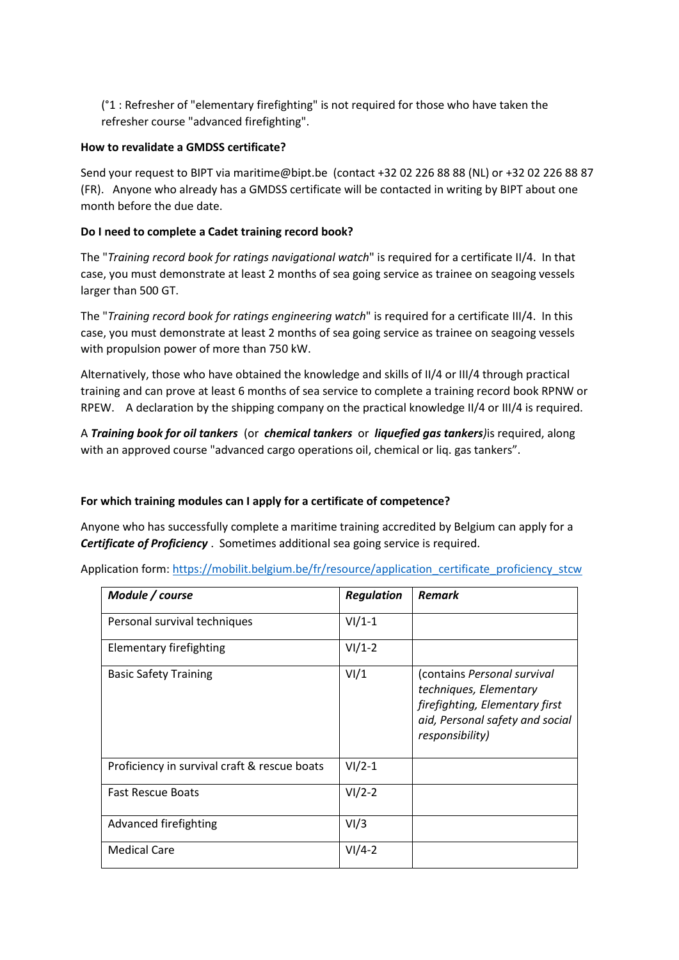(°1 : Refresher of "elementary firefighting" is not required for those who have taken the refresher course "advanced firefighting".

### **How to revalidate a GMDSS certificate?**

Send your request to BIPT via maritime@bipt.be (contact +32 02 226 88 88 (NL) or +32 02 226 88 87 (FR). Anyone who already has a GMDSS certificate will be contacted in writing by BIPT about one month before the due date.

### **Do I need to complete a Cadet training record book?**

The "*Training record book for ratings navigational watch*" is required for a certificate II/4. In that case, you must demonstrate at least 2 months of sea going service as trainee on seagoing vessels larger than 500 GT.

The "*Training record book for ratings engineering watch*" is required for a certificate III/4. In this case, you must demonstrate at least 2 months of sea going service as trainee on seagoing vessels with propulsion power of more than 750 kW.

Alternatively, those who have obtained the knowledge and skills of II/4 or III/4 through practical training and can prove at least 6 months of sea service to complete a training record book RPNW or RPEW. A declaration by the shipping company on the practical knowledge II/4 or III/4 is required.

A *Training book for oil tankers* (or *chemical tankers* or *liquefied gas tankers)*is required, along with an approved course "advanced cargo operations oil, chemical or liq. gas tankers".

# **For which training modules can I apply for a certificate of competence?**

Anyone who has successfully complete a maritime training accredited by Belgium can apply for a *Certificate of Proficiency* . Sometimes additional sea going service is required.

Application form: [https://mobilit.belgium.be/fr/resource/application\\_certificate\\_proficiency\\_stcw](https://mobilit.belgium.be/fr/resource/application_certificate_proficiency_stcw)

| Module / course                              | <b>Regulation</b> | <b>Remark</b>                                                                                                                                 |
|----------------------------------------------|-------------------|-----------------------------------------------------------------------------------------------------------------------------------------------|
| Personal survival techniques                 | $VI/1-1$          |                                                                                                                                               |
| Elementary firefighting                      | $VI/1-2$          |                                                                                                                                               |
| <b>Basic Safety Training</b>                 | VI/1              | (contains Personal survival<br>techniques, Elementary<br>firefighting, Elementary first<br>aid, Personal safety and social<br>responsibility) |
| Proficiency in survival craft & rescue boats | $VI/2-1$          |                                                                                                                                               |
| <b>Fast Rescue Boats</b>                     | $VI/2-2$          |                                                                                                                                               |
| Advanced firefighting                        | VI/3              |                                                                                                                                               |
| <b>Medical Care</b>                          | $VI/4-2$          |                                                                                                                                               |